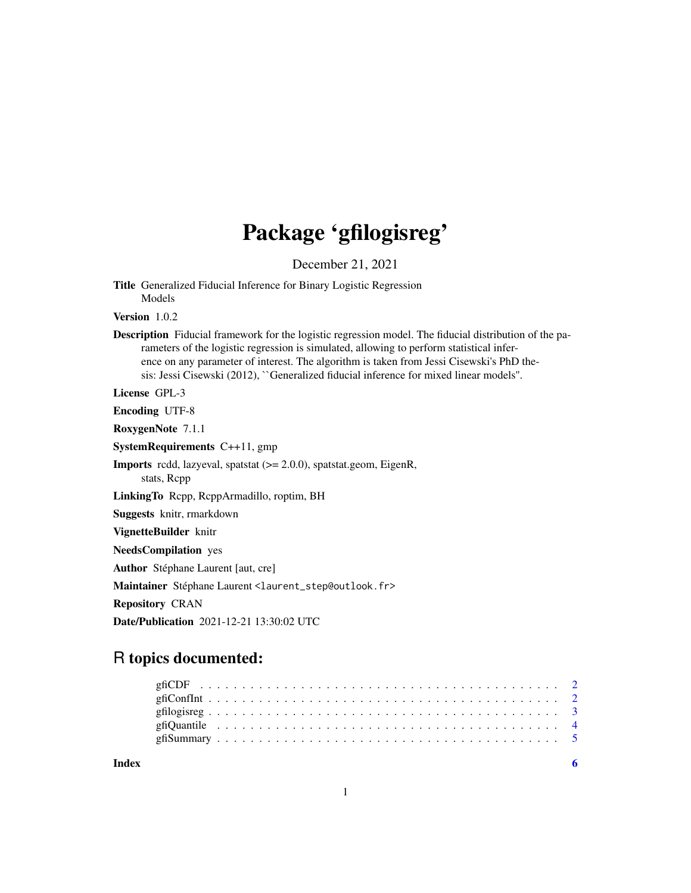# Package 'gfilogisreg'

December 21, 2021

Title Generalized Fiducial Inference for Binary Logistic Regression Models

Version 1.0.2

Description Fiducial framework for the logistic regression model. The fiducial distribution of the parameters of the logistic regression is simulated, allowing to perform statistical inference on any parameter of interest. The algorithm is taken from Jessi Cisewski's PhD thesis: Jessi Cisewski (2012), ``Generalized fiducial inference for mixed linear models''.

License GPL-3

Encoding UTF-8

RoxygenNote 7.1.1

SystemRequirements C++11, gmp

Imports rcdd, lazyeval, spatstat (>= 2.0.0), spatstat.geom, EigenR, stats, Rcpp

LinkingTo Rcpp, RcppArmadillo, roptim, BH

Suggests knitr, rmarkdown

VignetteBuilder knitr

NeedsCompilation yes

Author Stéphane Laurent [aut, cre]

Maintainer Stéphane Laurent <laurent\_step@outlook.fr>

Repository CRAN

Date/Publication 2021-12-21 13:30:02 UTC

# R topics documented:

**Index** [6](#page-5-0) **6**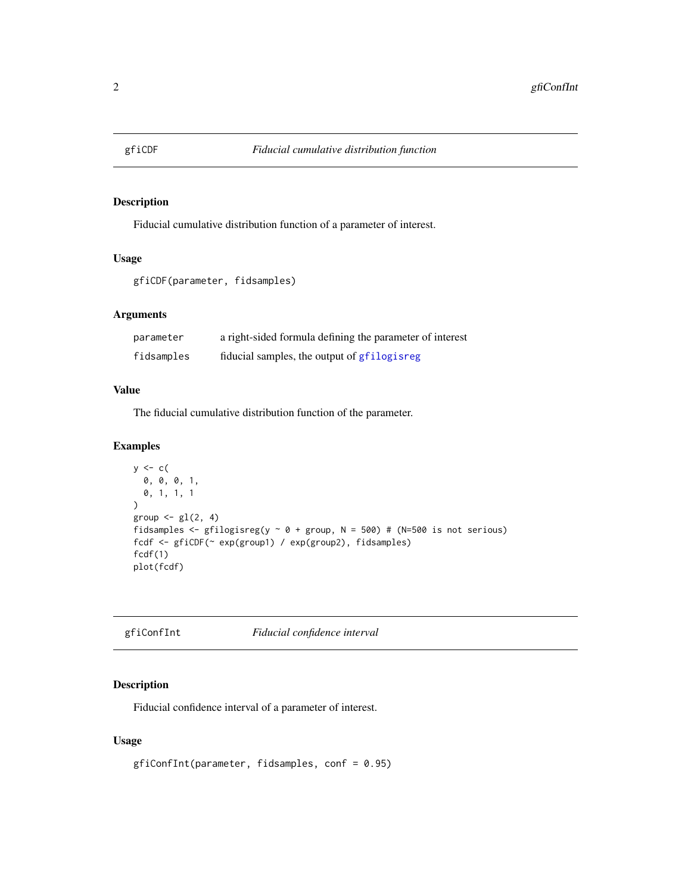<span id="page-1-0"></span>

#### Description

Fiducial cumulative distribution function of a parameter of interest.

# Usage

```
gfiCDF(parameter, fidsamples)
```
# Arguments

| parameter  | a right-sided formula defining the parameter of interest |
|------------|----------------------------------------------------------|
| fidsamples | fiducial samples, the output of gfilogisreg              |

# Value

The fiducial cumulative distribution function of the parameter.

# Examples

```
y \leftarrow c(
  0, 0, 0, 1,
  0, 1, 1, 1
\overline{\phantom{a}}group \leftarrow gl(2, 4)
fidsamples <- gfilogisreg(y \sim 0 + group, N = 500) # (N=500 is not serious)
fcdf <- gfiCDF(~ exp(group1) / exp(group2), fidsamples)
fcdf(1)
plot(fcdf)
```
# gfiConfInt *Fiducial confidence interval*

# Description

Fiducial confidence interval of a parameter of interest.

# Usage

```
gfiConfInt(parameter, fidsamples, conf = 0.95)
```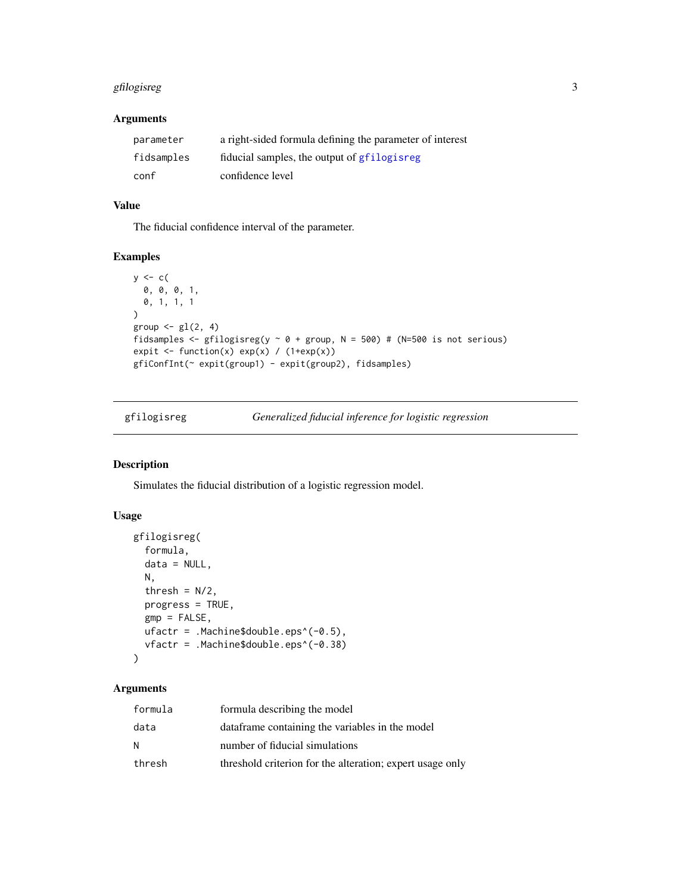# <span id="page-2-0"></span>gfilogisreg 3

# Arguments

| parameter  | a right-sided formula defining the parameter of interest |
|------------|----------------------------------------------------------|
| fidsamples | fiducial samples, the output of grilogisting             |
| conf       | confidence level                                         |

# Value

The fiducial confidence interval of the parameter.

# Examples

```
y \leftarrow c(
  0, 0, 0, 1,
  0, 1, 1, 1
)
group \leftarrow gl(2, 4)
fidsamples <- gfilogisreg(y \sim 0 + group, N = 500) # (N=500 is not serious)
expit \leftarrow function(x) exp(x) / (1+exp(x))
gfiConfInt(~ expit(group1) - expit(group2), fidsamples)
```
<span id="page-2-1"></span>

| gfilogisreg | Generalized fiducial inference for logistic regression |  |  |  |
|-------------|--------------------------------------------------------|--|--|--|
|             |                                                        |  |  |  |

# Description

Simulates the fiducial distribution of a logistic regression model.

# Usage

```
gfilogisreg(
  formula,
  data = NULL,
 N,
  thresh = N/2,
 progress = TRUE,
  gmp = FALSE,ufactr = .Machine$double.eps^(-0.5),
  vfactr = .Machine$double.eps^(-0.38)
\mathcal{L}
```
# Arguments

| formula | formula describing the model                              |
|---------|-----------------------------------------------------------|
| data    | data frame containing the variables in the model          |
| N       | number of fiducial simulations                            |
| thresh  | threshold criterion for the alteration; expert usage only |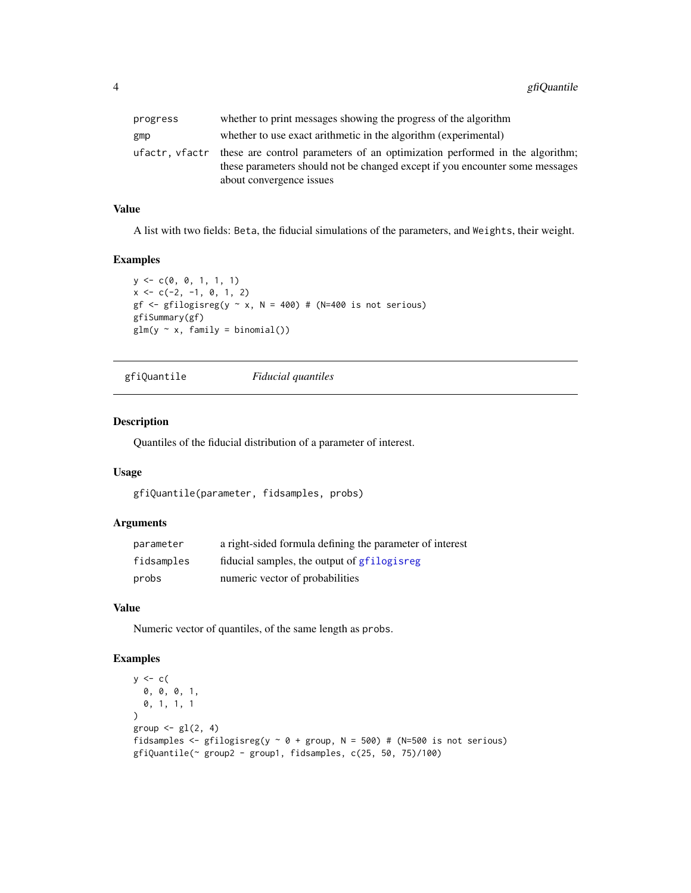<span id="page-3-0"></span>

| progress | whether to print messages showing the progress of the algorithm                                                                                                                                        |
|----------|--------------------------------------------------------------------------------------------------------------------------------------------------------------------------------------------------------|
| gmp      | whether to use exact arithmetic in the algorithm (experimental)                                                                                                                                        |
|          | ufactr, vfactr these are control parameters of an optimization performed in the algorithm;<br>these parameters should not be changed except if you encounter some messages<br>about convergence issues |

# Value

A list with two fields: Beta, the fiducial simulations of the parameters, and Weights, their weight.

# Examples

```
y <- c(0, 0, 1, 1, 1)
x \leftarrow c(-2, -1, 0, 1, 2)gf \le- gfilogisreg(y \sim x, N = 400) # (N=400 is not serious)
gfiSummary(gf)
glm(y \sim x, family = binomial())
```

```
gfiQuantile Fiducial quantiles
```
# Description

Quantiles of the fiducial distribution of a parameter of interest.

#### Usage

```
gfiQuantile(parameter, fidsamples, probs)
```
#### Arguments

| parameter  | a right-sided formula defining the parameter of interest |
|------------|----------------------------------------------------------|
| fidsamples | fiducial samples, the output of graphic stores           |
| probs      | numeric vector of probabilities                          |

#### Value

Numeric vector of quantiles, of the same length as probs.

# Examples

```
y \leftarrow c(
  0, 0, 0, 1,
  0, 1, 1, 1
\lambdagroup \leftarrow gl(2, 4)
fidsamples <- gfilogisreg(y \sim 0 + group, N = 500) # (N=500 is not serious)
gfiQuantile(~ group2 - group1, fidsamples, c(25, 50, 75)/100)
```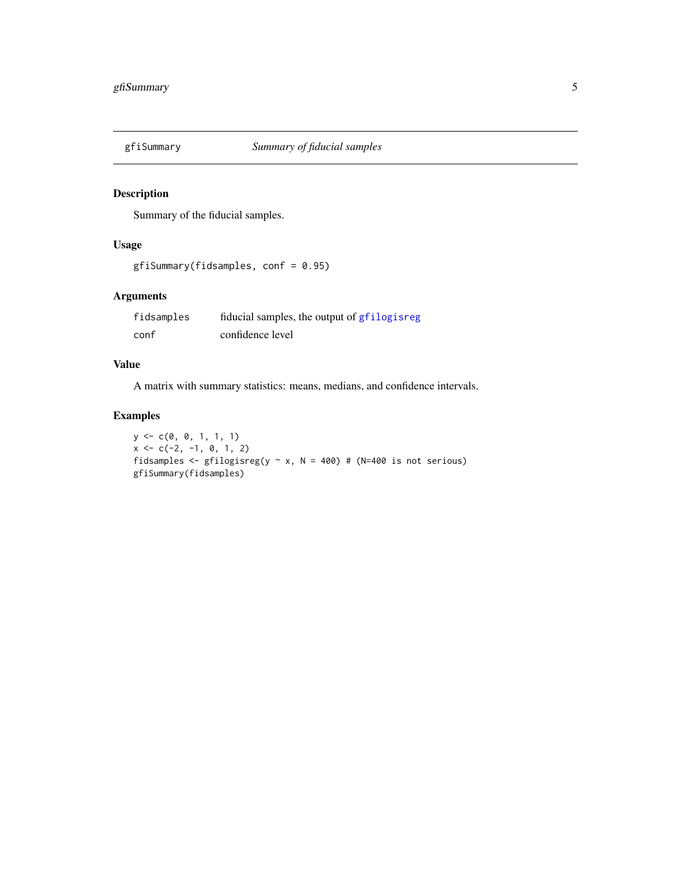<span id="page-4-0"></span>

# Description

Summary of the fiducial samples.

# Usage

gfiSummary(fidsamples, conf = 0.95)

# Arguments

| fidsamples | fiducial samples, the output of gfilogisreg |
|------------|---------------------------------------------|
| conf       | confidence level                            |

# Value

A matrix with summary statistics: means, medians, and confidence intervals.

# Examples

y <- c(0, 0, 1, 1, 1)  $x \leftarrow c(-2, -1, 0, 1, 2)$ fidsamples <- gfilogisreg(y  $\sim$  x, N = 400) # (N=400 is not serious) gfiSummary(fidsamples)